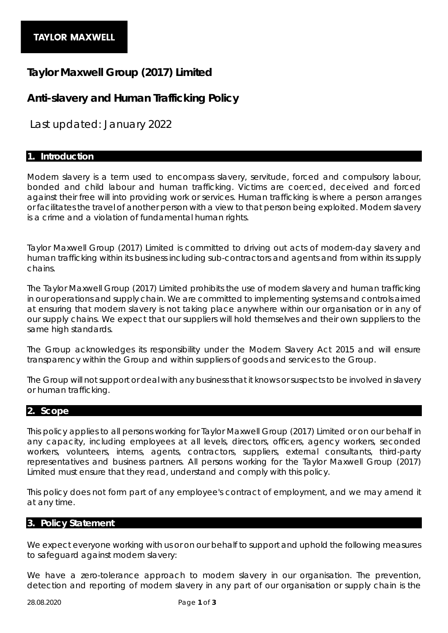# **Taylor Maxwell Group (2017) Limited**

# **Anti-slavery and Human Trafficking Policy**

*Last updated: January 2022*

## **1. Introduction**

Modern slavery is a term used to encompass slavery, servitude, forced and compulsory labour, bonded and child labour and human trafficking. Victims are coerced, deceived and forced against their free will into providing work or services. Human trafficking is where a person arranges or facilitates the travel of another person with a view to that person being exploited. Modern slavery is a crime and a violation of fundamental human rights.

Taylor Maxwell Group (2017) Limited is committed to driving out acts of modern-day slavery and human trafficking within its business including sub-contractors and agents and from within its supply chains.

The Taylor Maxwell Group (2017) Limited prohibits the use of modern slavery and human trafficking in our operations and supply chain. We are committed to implementing systems and controls aimed at ensuring that modern slavery is not taking place anywhere within our organisation or in any of our supply chains. We expect that our suppliers will hold themselves and their own suppliers to the same high standards.

The Group acknowledges its responsibility under the Modern Slavery Act 2015 and will ensure transparency within the Group and within suppliers of goods and services to the Group.

The Group will not support or deal with any business that it knows or suspects to be involved in slavery or human trafficking.

#### **2. Scope**

This policy applies to all persons working for Taylor Maxwell Group (2017) Limited or on our behalf in any capacity, including employees at all levels, directors, officers, agency workers, seconded workers, volunteers, interns, agents, contractors, suppliers, external consultants, third-party representatives and business partners. All persons working for the Taylor Maxwell Group (2017) Limited must ensure that they read, understand and comply with this policy.

This policy does not form part of any employee's contract of employment, and we may amend it at any time.

#### **3. Policy Statement**

We expect everyone working with us or on our behalf to support and uphold the following measures to safeguard against modern slavery:

We have a zero-tolerance approach to modern slavery in our organisation. The prevention, detection and reporting of modern slavery in any part of our organisation or supply chain is the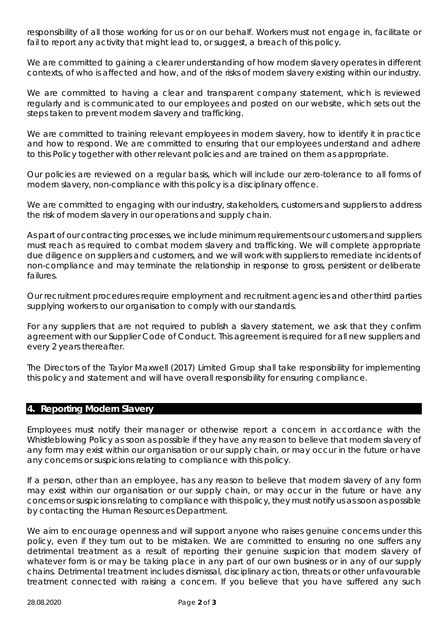responsibility of all those working for us or on our behalf. Workers must not engage in, facilitate or fail to report any activity that might lead to, or suggest, a breach of this policy.

We are committed to gaining a clearer understanding of how modern slavery operates in different contexts, of who is affected and how, and of the risks of modern slavery existing within our industry.

We are committed to having a clear and transparent company statement, which is reviewed regularly and is communicated to our employees and posted on our website, which sets out the steps taken to prevent modern slavery and trafficking.

We are committed to training relevant employees in modern slavery, how to identify it in practice and how to respond. We are committed to ensuring that our employees understand and adhere to this Policy together with other relevant policies and are trained on them as appropriate.

Our policies are reviewed on a regular basis, which will include our zero-tolerance to all forms of modern slavery, non-compliance with this policy is a disciplinary offence.

We are committed to engaging with our industry, stakeholders, customers and suppliers to address the risk of modern slavery in our operations and supply chain.

As part of our contracting processes, we include minimum requirements our customers and suppliers must reach as required to combat modern slavery and trafficking. We will complete appropriate due diligence on suppliers and customers, and we will work with suppliers to remediate incidents of non-compliance and may terminate the relationship in response to gross, persistent or deliberate failures.

Our recruitment procedures require employment and recruitment agencies and other third parties supplying workers to our organisation to comply with our standards.

For any suppliers that are not required to publish a slavery statement, we ask that they confirm agreement with our Supplier Code of Conduct. This agreement is required for all new suppliers and every 2 years thereafter.

The Directors of the Taylor Maxwell (2017) Limited Group shall take responsibility for implementing this policy and statement and will have overall responsibility for ensuring compliance.

### **4. Reporting Modern Slavery**

Employees must notify their manager or otherwise report a concern in accordance with the Whistleblowing Policy as soon as possible if they have any reason to believe that modern slavery of any form may exist within our organisation or our supply chain, or may occur in the future or have any concerns or suspicions relating to compliance with this policy.

If a person, other than an employee, has any reason to believe that modern slavery of any form may exist within our organisation or our supply chain, or may occur in the future or have any concerns or suspicions relating to compliance with this policy, they must notify us as soon as possible by contacting the Human Resources Department.

We aim to encourage openness and will support anyone who raises genuine concerns under this policy, even if they turn out to be mistaken. We are committed to ensuring no one suffers any detrimental treatment as a result of reporting their genuine suspicion that modern slavery of whatever form is or may be taking place in any part of our own business or in any of our supply chains. Detrimental treatment includes dismissal, disciplinary action, threats or other unfavourable treatment connected with raising a concern. If you believe that you have suffered any such